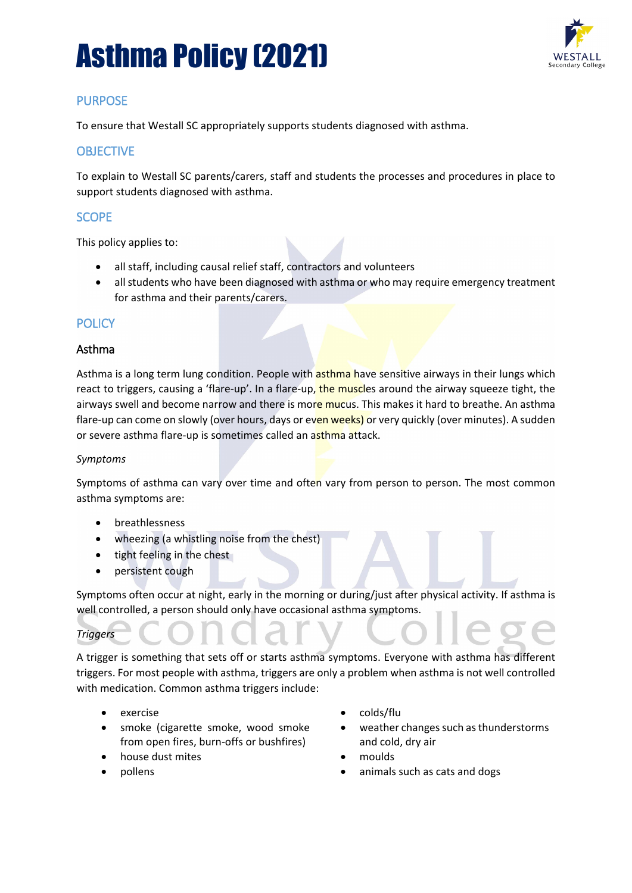

## **PURPOSE**

To ensure that Westall SC appropriately supports students diagnosed with asthma.

## **OBJECTIVE**

To explain to Westall SC parents/carers, staff and students the processes and procedures in place to support students diagnosed with asthma.

## **SCOPE**

This policy applies to:

- all staff, including causal relief staff, contractors and volunteers
- all students who have been diagnosed with asthma or who may require emergency treatment for asthma and their parents/carers.

## **POLICY**

#### Asthma

Asthma is a long term lung condition. People with asthma have sensitive airways in their lungs which react to triggers, causing a 'flare-up'. In a flare-up, the muscles around the airway squeeze tight, the airways swell and become narrow and there is more mucus. This makes it hard to breathe. An asthma flare-up can come on slowly (over hours, days or even weeks) or very quickly (over minutes). A sudden or severe asthma flare-up is sometimes called an asthma attack.

#### *Symptoms*

Symptoms of asthma can vary over time and often vary from person to person. The most common asthma symptoms are:

- breathlessness
- wheezing (a whistling noise from the chest)
- tight feeling in the chest
- persistent cough

Symptoms often occur at night, early in the morning or during/just after physical activity. If asthma is well controlled, a person should only have occasional asthma symptoms.

*Triggers*

A trigger is something that sets off or starts asthma symptoms. Everyone with asthma has different triggers. For most people with asthma, triggers are only a problem when asthma is not well controlled with medication. Common asthma triggers include:

- 
- smoke (cigarette smoke, wood smoke from open fires, burn-offs or bushfires)
- house dust mites **•** moulds
- 
- exercise colds/flu
	- weather changes such as thunderstorms and cold, dry air
	-
- pollens animals such as cats and dogs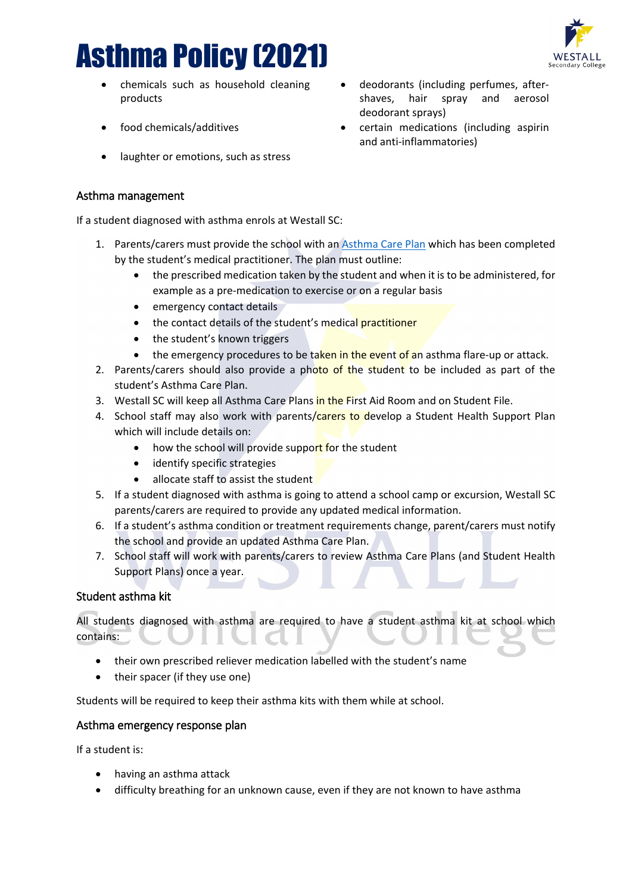- chemicals such as household cleaning products
- 
- laughter or emotions, such as stress

#### Asthma management

If a student diagnosed with asthma enrols at Westall SC:

- 1. Parents/carers must provide the school with an [Asthma Care](http://www.education.vic.gov.au/school/principals/spag/health/Documents/AsthmaCarePlan.pdf) Plan which has been completed by the student's medical practitioner. The plan must outline:
	- the prescribed medication taken by the student and when it is to be administered, for example as a pre-medication to exercise or on a regular basis
	- emergency contact details
	- the contact details of the student's medical practitioner
	- the student's known triggers
	- the emergency procedures to be taken in the event of an asthma flare-up or attack.
- 2. Parents/carers should also provide a photo of the student to be included as part of the student's Asthma Care Plan.
- 3. Westall SC will keep all Asthma Care Plans in the First Aid Room and on Student File.
- 4. School staff may also work with parents/carers to develop a Student Health Support Plan which will include details on:
	- how the school will provide support for the student
	- identify specific strategies
	- allocate staff to assist the student
- 5. If a student diagnosed with asthma is going to attend a school camp or excursion, Westall SC parents/carers are required to provide any updated medical information.
- 6. If a student's asthma condition or treatment requirements change, parent/carers must notify the school and provide an updated Asthma Care Plan.
- 7. School staff will work with parents/carers to review Asthma Care Plans (and Student Health Support Plans) once a year.

#### Student asthma kit

All students diagnosed with asthma are required to have a student asthma kit at school which contains:

- their own prescribed reliever medication labelled with the student's name
- their spacer (if they use one)

Students will be required to keep their asthma kits with them while at school.

#### Asthma emergency response plan

If a student is:

- having an asthma attack
- difficulty breathing for an unknown cause, even if they are not known to have asthma
- deodorants (including perfumes, aftershaves, hair spray and aerosol deodorant sprays)
- food chemicals/additives **•** certain medications (including aspirin and anti-inflammatories)

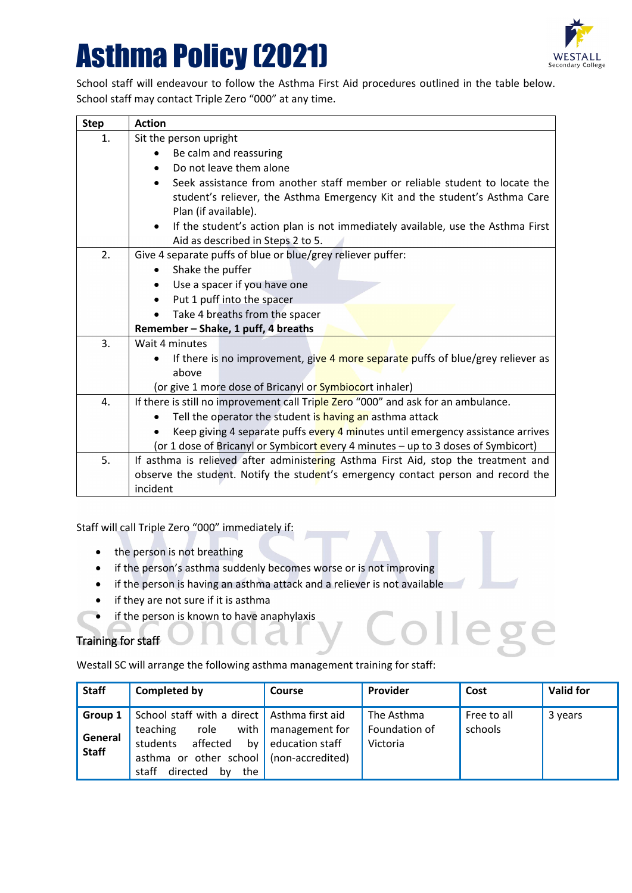

School staff will endeavour to follow the Asthma First Aid procedures outlined in the table below. School staff may contact Triple Zero "000" at any time.

| <b>Step</b> | <b>Action</b>                                                                                      |  |  |  |  |  |
|-------------|----------------------------------------------------------------------------------------------------|--|--|--|--|--|
| 1.          | Sit the person upright                                                                             |  |  |  |  |  |
|             | Be calm and reassuring                                                                             |  |  |  |  |  |
|             | Do not leave them alone                                                                            |  |  |  |  |  |
|             | Seek assistance from another staff member or reliable student to locate the                        |  |  |  |  |  |
|             | student's reliever, the Asthma Emergency Kit and the student's Asthma Care<br>Plan (if available). |  |  |  |  |  |
|             | If the student's action plan is not immediately available, use the Asthma First<br>$\bullet$       |  |  |  |  |  |
|             | Aid as described in Steps 2 to 5.                                                                  |  |  |  |  |  |
| 2.          | Give 4 separate puffs of blue or blue/grey reliever puffer:                                        |  |  |  |  |  |
|             | Shake the puffer<br>$\bullet$                                                                      |  |  |  |  |  |
|             | Use a spacer if you have one<br>$\bullet$                                                          |  |  |  |  |  |
|             | Put 1 puff into the spacer<br>$\bullet$                                                            |  |  |  |  |  |
|             | Take 4 breaths from the spacer                                                                     |  |  |  |  |  |
|             | Remember - Shake, 1 puff, 4 breaths                                                                |  |  |  |  |  |
| 3.          | Wait 4 minutes                                                                                     |  |  |  |  |  |
|             | If there is no improvement, give 4 more separate puffs of blue/grey reliever as                    |  |  |  |  |  |
|             | above                                                                                              |  |  |  |  |  |
|             | (or give 1 more dose of Bricanyl or <b>Symbioco</b> rt inhaler)                                    |  |  |  |  |  |
| 4.          | If there is still no improvement call Triple Zero "000" and ask for an ambulance.                  |  |  |  |  |  |
|             | Tell the operator the student is having an asthma attack                                           |  |  |  |  |  |
|             | Keep giving 4 separate puffs every 4 minutes until emergency assistance arrives                    |  |  |  |  |  |
|             | (or 1 dose of Bricanyl or Symbicort every 4 minutes – up to 3 doses of Symbicort)                  |  |  |  |  |  |
| 5.          | If asthma is relieved after administering Asthma First Aid, stop the treatment and                 |  |  |  |  |  |
|             | observe the student. Notify the student's emergency contact person and record the                  |  |  |  |  |  |
|             | incident                                                                                           |  |  |  |  |  |

Staff will call Triple Zero "000" immediately if:

- the person is not breathing
- if the person's asthma suddenly becomes worse or is not improving
- if the person is having an asthma attack and a reliever is not available
- if they are not sure if it is asthma
- if the person is known to have anaphylaxis

#### Training for staff

Westall SC will arrange the following asthma management training for staff:

| <b>Staff</b>                       | <b>Completed by</b>                                                                                                                                                          | Course                                   | Provider                                | Cost                   | <b>Valid for</b> |
|------------------------------------|------------------------------------------------------------------------------------------------------------------------------------------------------------------------------|------------------------------------------|-----------------------------------------|------------------------|------------------|
| Group 1<br>General<br><b>Staff</b> | School staff with a direct   Asthma first aid<br>role<br>teaching<br>students<br>affected<br>bv<br>asthma or other school (non-accredited)<br>directed<br>by<br>the<br>staff | with   management for<br>education staff | The Asthma<br>Foundation of<br>Victoria | Free to all<br>schools | 3 years          |

eg

e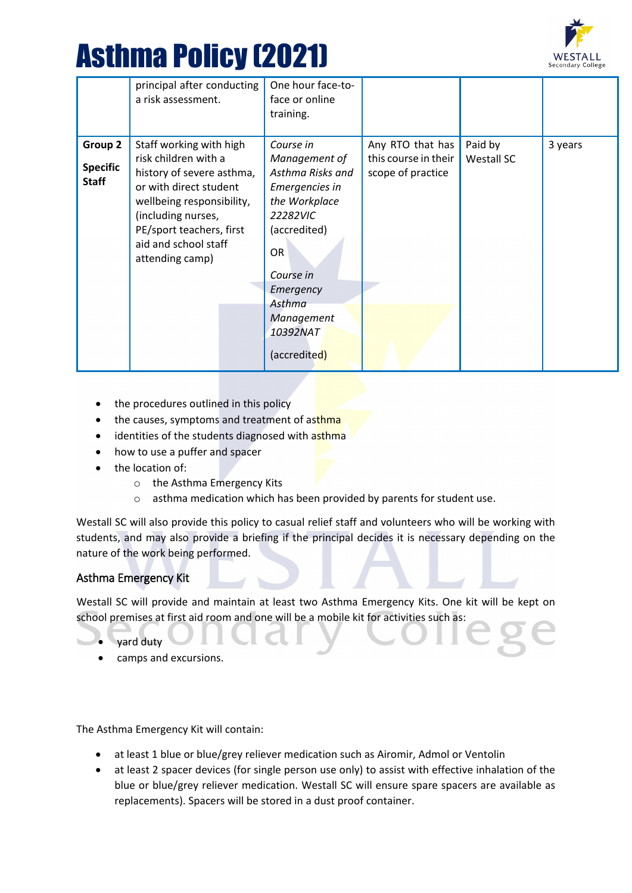

|                                            | principal after conducting<br>a risk assessment.                                                                                                                                                                                 | One hour face-to-<br>face or online<br>training.                                                                                                                                                         |                                                               |                       |         |
|--------------------------------------------|----------------------------------------------------------------------------------------------------------------------------------------------------------------------------------------------------------------------------------|----------------------------------------------------------------------------------------------------------------------------------------------------------------------------------------------------------|---------------------------------------------------------------|-----------------------|---------|
| Group 2<br><b>Specific</b><br><b>Staff</b> | Staff working with high<br>risk children with a<br>history of severe asthma,<br>or with direct student<br>wellbeing responsibility,<br>(including nurses,<br>PE/sport teachers, first<br>aid and school staff<br>attending camp) | Course in<br>Management of<br>Asthma Risks and<br>Emergencies in<br>the Workplace<br>22282VIC<br>(accredited)<br><b>OR</b><br>Course in<br>Emergency<br>Asthma<br>Management<br>10392NAT<br>(accredited) | Any RTO that has<br>this course in their<br>scope of practice | Paid by<br>Westall SC | 3 years |

- the procedures outlined in this policy
- the causes, symptoms and treatment of asthma
- identities of the students diagnosed with asthma
- how to use a puffer and spacer
- the location of:
	- o the Asthma Emergency Kits
	- o asthma medication which has been provided by parents for student use.

Westall SC will also provide this policy to casual relief staff and volunteers who will be working with students, and may also provide a briefing if the principal decides it is necessary depending on the nature of the work being performed.

#### Asthma Emergency Kit

Westall SC will provide and maintain at least two Asthma Emergency Kits. One kit will be kept on school premises at first aid room and one will be a mobile kit for activities such as:

- yard duty
	- camps and excursions.

The Asthma Emergency Kit will contain:

- at least 1 blue or blue/grey reliever medication such as Airomir, Admol or Ventolin
- at least 2 spacer devices (for single person use only) to assist with effective inhalation of the blue or blue/grey reliever medication. Westall SC will ensure spare spacers are available as replacements). Spacers will be stored in a dust proof container.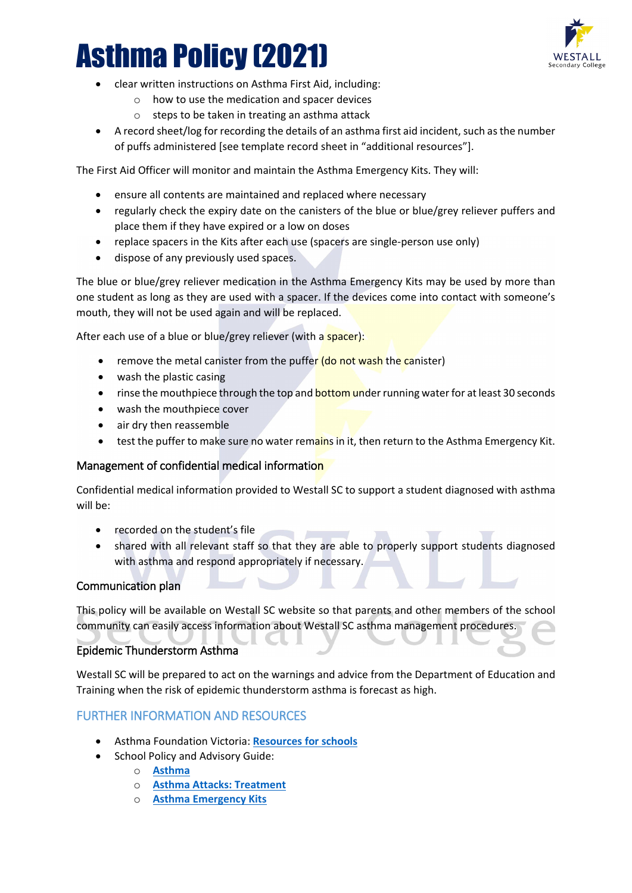

- clear written instructions on Asthma First Aid, including:
	- o how to use the medication and spacer devices
	- o steps to be taken in treating an asthma attack
- A record sheet/log for recording the details of an asthma first aid incident, such as the number of puffs administered [see template record sheet in "additional resources"].

The First Aid Officer will monitor and maintain the Asthma Emergency Kits. They will:

- ensure all contents are maintained and replaced where necessary
- regularly check the expiry date on the canisters of the blue or blue/grey reliever puffers and place them if they have expired or a low on doses
- replace spacers in the Kits after each use (spacers are single-person use only)
- dispose of any previously used spaces.

The blue or blue/grey reliever medication in the Asthma Emergency Kits may be used by more than one student as long as they are used with a spacer. If the devices come into contact with someone's mouth, they will not be used again and will be replaced.

After each use of a blue or blue/grey reliever (with a spacer):

- remove the metal canister from the puffer (do not wash the canister)
- wash the plastic casing
- rinse the mouthpiece through the top and **bottom under running water for at least 30 seconds**
- wash the mouthpiece cover
- air dry then reassemble
- test the puffer to make sure no water remains in it, then return to the Asthma Emergency Kit.

#### Management of confidential medical information

Confidential medical information provided to Westall SC to support a student diagnosed with asthma will be:

- recorded on the student's file
- shared with all relevant staff so that they are able to properly support students diagnosed with asthma and respond appropriately if necessary.

 $\overline{\phantom{a}}$ 

#### Communication plan

This policy will be available on Westall SC website so that parents and other members of the school community can easily access information about Westall SC asthma management procedures.

#### Epidemic Thunderstorm Asthma

Westall SC will be prepared to act on the warnings and advice from the Department of Education and Training when the risk of epidemic thunderstorm asthma is forecast as high.

#### FURTHER INFORMATION AND RESOURCES

• Asthma Foundation Victoria: **[Resources for schools](https://www.asthmaaustralia.org.au/vic/education-and-training/for-victorian-schools/victorian-schools-resources/school-resources)**

 $\overline{\phantom{a}}$ 

- School Policy and Advisory Guide:
	- o **[Asthma](http://www.education.vic.gov.au/school/principals/spag/health/pages/conditionasthma.aspx)**
	- o **[Asthma Attacks: Treatment](http://www.education.vic.gov.au/school/principals/spag/health/Pages/asthmaattack.aspx)**
	- o **[Asthma Emergency Kits](http://www.education.vic.gov.au/school/principals/spag/health/Pages/asthmakits.aspx)**